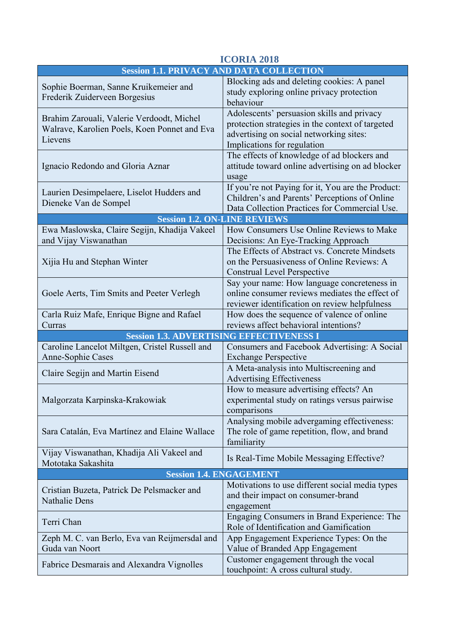| <b>ICORIA 2018</b>                                                                                   |                                                                                                                                                                          |
|------------------------------------------------------------------------------------------------------|--------------------------------------------------------------------------------------------------------------------------------------------------------------------------|
|                                                                                                      | <b>Session 1.1. PRIVACY AND DATA COLLECTION</b>                                                                                                                          |
| Sophie Boerman, Sanne Kruikemeier and<br>Frederik Zuiderveen Borgesius                               | Blocking ads and deleting cookies: A panel<br>study exploring online privacy protection<br>behaviour                                                                     |
| Brahim Zarouali, Valerie Verdoodt, Michel<br>Walrave, Karolien Poels, Koen Ponnet and Eva<br>Lievens | Adolescents' persuasion skills and privacy<br>protection strategies in the context of targeted<br>advertising on social networking sites:<br>Implications for regulation |
| Ignacio Redondo and Gloria Aznar                                                                     | The effects of knowledge of ad blockers and<br>attitude toward online advertising on ad blocker<br>usage                                                                 |
| Laurien Desimpelaere, Liselot Hudders and<br>Dieneke Van de Sompel                                   | If you're not Paying for it, You are the Product:<br>Children's and Parents' Perceptions of Online<br>Data Collection Practices for Commercial Use.                      |
| <b>Session 1.2. ON-LINE REVIEWS</b>                                                                  |                                                                                                                                                                          |
| Ewa Maslowska, Claire Segijn, Khadija Vakeel<br>and Vijay Viswanathan                                | How Consumers Use Online Reviews to Make<br>Decisions: An Eye-Tracking Approach                                                                                          |
| Xijia Hu and Stephan Winter                                                                          | The Effects of Abstract vs. Concrete Mindsets<br>on the Persuasiveness of Online Reviews: A<br>Construal Level Perspective                                               |
| Goele Aerts, Tim Smits and Peeter Verlegh                                                            | Say your name: How language concreteness in<br>online consumer reviews mediates the effect of<br>reviewer identification on review helpfulness                           |
| Carla Ruiz Mafe, Enrique Bigne and Rafael<br>Curras                                                  | How does the sequence of valence of online<br>reviews affect behavioral intentions?                                                                                      |
| <b>Session 1.3. ADVERTISING EFFECTIVENESS I</b>                                                      |                                                                                                                                                                          |
| Caroline Lancelot Miltgen, Cristel Russell and<br><b>Anne-Sophie Cases</b>                           | Consumers and Facebook Advertising: A Social<br><b>Exchange Perspective</b>                                                                                              |
| Claire Segijn and Martin Eisend                                                                      | A Meta-analysis into Multiscreening and<br><b>Advertising Effectiveness</b>                                                                                              |
| Malgorzata Karpinska-Krakowiak                                                                       | How to measure advertising effects? An<br>experimental study on ratings versus pairwise<br>comparisons                                                                   |
| Sara Catalán, Eva Martínez and Elaine Wallace                                                        | Analysing mobile advergaming effectiveness:<br>The role of game repetition, flow, and brand<br>familiarity                                                               |
| Vijay Viswanathan, Khadija Ali Vakeel and<br>Mototaka Sakashita                                      | Is Real-Time Mobile Messaging Effective?                                                                                                                                 |
| <b>Session 1.4. ENGAGEMENT</b>                                                                       |                                                                                                                                                                          |
| Cristian Buzeta, Patrick De Pelsmacker and<br><b>Nathalie Dens</b>                                   | Motivations to use different social media types<br>and their impact on consumer-brand<br>engagement                                                                      |
| Terri Chan                                                                                           | Engaging Consumers in Brand Experience: The<br>Role of Identification and Gamification                                                                                   |
| Zeph M. C. van Berlo, Eva van Reijmersdal and<br>Guda van Noort                                      | App Engagement Experience Types: On the<br>Value of Branded App Engagement                                                                                               |
| Fabrice Desmarais and Alexandra Vignolles                                                            | Customer engagement through the vocal<br>touchpoint: A cross cultural study.                                                                                             |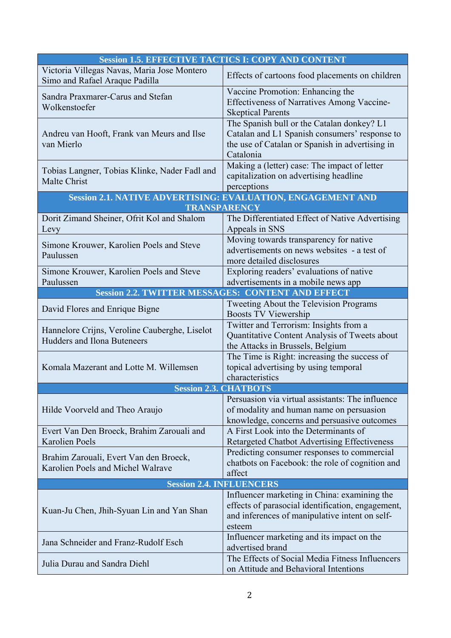|                                                                                     | <b>Session 1.5. EFFECTIVE TACTICS I: COPY AND CONTENT</b>                                                                                                     |
|-------------------------------------------------------------------------------------|---------------------------------------------------------------------------------------------------------------------------------------------------------------|
| Victoria Villegas Navas, Maria Jose Montero<br>Simo and Rafael Araque Padilla       | Effects of cartoons food placements on children                                                                                                               |
| Sandra Praxmarer-Carus and Stefan<br>Wolkenstoefer                                  | Vaccine Promotion: Enhancing the<br><b>Effectiveness of Narratives Among Vaccine-</b><br><b>Skeptical Parents</b>                                             |
| Andreu van Hooft, Frank van Meurs and Ilse<br>van Mierlo                            | The Spanish bull or the Catalan donkey? L1<br>Catalan and L1 Spanish consumers' response to<br>the use of Catalan or Spanish in advertising in<br>Catalonia   |
| Tobias Langner, Tobias Klinke, Nader Fadl and<br>Malte Christ                       | Making a (letter) case: The impact of letter<br>capitalization on advertising headline<br>perceptions                                                         |
|                                                                                     | Session 2.1. NATIVE ADVERTISING: EVALUATION, ENGAGEMENT AND                                                                                                   |
|                                                                                     | TRANSPARENCY                                                                                                                                                  |
| Dorit Zimand Sheiner, Ofrit Kol and Shalom<br>Levy                                  | The Differentiated Effect of Native Advertising<br>Appeals in SNS                                                                                             |
| Simone Krouwer, Karolien Poels and Steve<br>Paulussen                               | Moving towards transparency for native<br>advertisements on news websites - a test of<br>more detailed disclosures                                            |
| Simone Krouwer, Karolien Poels and Steve<br>Paulussen                               | Exploring readers' evaluations of native<br>advertisements in a mobile news app                                                                               |
|                                                                                     | <b>Session 2.2. TWITTER MESSAGES: CONTENT AND EFFECT</b>                                                                                                      |
| David Flores and Enrique Bigne                                                      | Tweeting About the Television Programs<br><b>Boosts TV Viewership</b>                                                                                         |
| Hannelore Crijns, Veroline Cauberghe, Liselot<br><b>Hudders and Ilona Buteneers</b> | Twitter and Terrorism: Insights from a<br>Quantitative Content Analysis of Tweets about<br>the Attacks in Brussels, Belgium                                   |
| Komala Mazerant and Lotte M. Willemsen                                              | The Time is Right: increasing the success of<br>topical advertising by using temporal<br>characteristics                                                      |
|                                                                                     | <b>Session 2.3. CHATBOTS</b>                                                                                                                                  |
| Hilde Voorveld and Theo Araujo                                                      | Persuasion via virtual assistants: The influence<br>of modality and human name on persuasion<br>knowledge, concerns and persuasive outcomes                   |
| Evert Van Den Broeck, Brahim Zarouali and<br><b>Karolien Poels</b>                  | A First Look into the Determinants of<br>Retargeted Chatbot Advertising Effectiveness                                                                         |
| Brahim Zarouali, Evert Van den Broeck,<br>Karolien Poels and Michel Walrave         | Predicting consumer responses to commercial<br>chatbots on Facebook: the role of cognition and<br>affect                                                      |
|                                                                                     | <b>Session 2.4. INFLUENCERS</b>                                                                                                                               |
| Kuan-Ju Chen, Jhih-Syuan Lin and Yan Shan                                           | Influencer marketing in China: examining the<br>effects of parasocial identification, engagement,<br>and inferences of manipulative intent on self-<br>esteem |
| Jana Schneider and Franz-Rudolf Esch                                                | Influencer marketing and its impact on the<br>advertised brand                                                                                                |
| Julia Durau and Sandra Diehl                                                        | The Effects of Social Media Fitness Influencers<br>on Attitude and Behavioral Intentions                                                                      |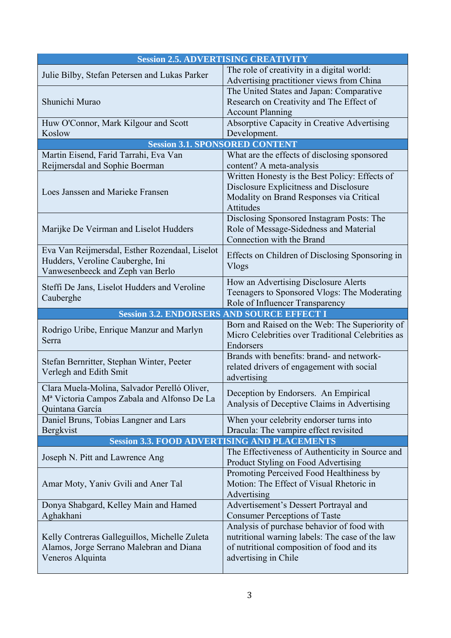| <b>Session 2.5. ADVERTISING CREATIVITY</b>                                                                                 |                                                                                                                                                                     |
|----------------------------------------------------------------------------------------------------------------------------|---------------------------------------------------------------------------------------------------------------------------------------------------------------------|
|                                                                                                                            | The role of creativity in a digital world:                                                                                                                          |
| Julie Bilby, Stefan Petersen and Lukas Parker                                                                              | Advertising practitioner views from China                                                                                                                           |
|                                                                                                                            | The United States and Japan: Comparative                                                                                                                            |
| Shunichi Murao                                                                                                             | Research on Creativity and The Effect of                                                                                                                            |
|                                                                                                                            | <b>Account Planning</b>                                                                                                                                             |
| Huw O'Connor, Mark Kilgour and Scott                                                                                       | <b>Absorptive Capacity in Creative Advertising</b>                                                                                                                  |
| Koslow                                                                                                                     | Development.                                                                                                                                                        |
| <b>Session 3.1. SPONSORED CONTENT</b>                                                                                      |                                                                                                                                                                     |
| Martin Eisend, Farid Tarrahi, Eva Van                                                                                      | What are the effects of disclosing sponsored                                                                                                                        |
| Reijmersdal and Sophie Boerman                                                                                             | content? A meta-analysis                                                                                                                                            |
| Loes Janssen and Marieke Fransen                                                                                           | Written Honesty is the Best Policy: Effects of<br>Disclosure Explicitness and Disclosure<br>Modality on Brand Responses via Critical<br>Attitudes                   |
| Marijke De Veirman and Liselot Hudders                                                                                     | Disclosing Sponsored Instagram Posts: The<br>Role of Message-Sidedness and Material<br>Connection with the Brand                                                    |
| Eva Van Reijmersdal, Esther Rozendaal, Liselot<br>Hudders, Veroline Cauberghe, Ini<br>Vanwesenbeeck and Zeph van Berlo     | Effects on Children of Disclosing Sponsoring in<br><b>Vlogs</b>                                                                                                     |
| Steffi De Jans, Liselot Hudders and Veroline<br>Cauberghe                                                                  | How an Advertising Disclosure Alerts<br>Teenagers to Sponsored Vlogs: The Moderating<br>Role of Influencer Transparency                                             |
|                                                                                                                            | <b>Session 3.2. ENDORSERS AND SOURCE EFFECT I</b>                                                                                                                   |
| Rodrigo Uribe, Enrique Manzur and Marlyn<br>Serra                                                                          | Born and Raised on the Web: The Superiority of<br>Micro Celebrities over Traditional Celebrities as<br>Endorsers                                                    |
| Stefan Bernritter, Stephan Winter, Peeter<br>Verlegh and Edith Smit                                                        | Brands with benefits: brand- and network-<br>related drivers of engagement with social<br>advertising                                                               |
| Clara Muela-Molina, Salvador Perelló Oliver,<br>M <sup>a</sup> Victoria Campos Zabala and Alfonso De La<br>Quintana García | Deception by Endorsers. An Empirical<br>Analysis of Deceptive Claims in Advertising                                                                                 |
| Daniel Bruns, Tobias Langner and Lars<br>Bergkvist                                                                         | When your celebrity endorser turns into<br>Dracula: The vampire effect revisited                                                                                    |
|                                                                                                                            | <b>Session 3.3. FOOD ADVERTISING AND PLACEMENTS</b>                                                                                                                 |
| Joseph N. Pitt and Lawrence Ang                                                                                            | The Effectiveness of Authenticity in Source and<br>Product Styling on Food Advertising                                                                              |
| Amar Moty, Yaniv Gvili and Aner Tal                                                                                        | Promoting Perceived Food Healthiness by<br>Motion: The Effect of Visual Rhetoric in<br>Advertising                                                                  |
| Donya Shabgard, Kelley Main and Hamed<br>Aghakhani                                                                         | Advertisement's Dessert Portrayal and<br><b>Consumer Perceptions of Taste</b>                                                                                       |
| Kelly Contreras Galleguillos, Michelle Zuleta<br>Alamos, Jorge Serrano Malebran and Diana<br>Veneros Alquinta              | Analysis of purchase behavior of food with<br>nutritional warning labels: The case of the law<br>of nutritional composition of food and its<br>advertising in Chile |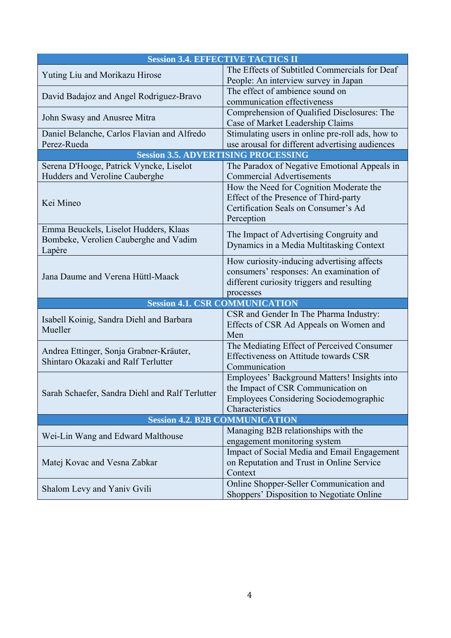|                                                                                | <b>Session 3.4. EFFECTIVE TACTICS II</b>         |
|--------------------------------------------------------------------------------|--------------------------------------------------|
| Yuting Liu and Morikazu Hirose                                                 | The Effects of Subtitled Commercials for Deaf    |
|                                                                                | People: An interview survey in Japan             |
| David Badajoz and Angel Rodriguez-Bravo                                        | The effect of ambience sound on                  |
|                                                                                | communication effectiveness                      |
| John Swasy and Anusree Mitra                                                   | Comprehension of Qualified Disclosures: The      |
|                                                                                | Case of Market Leadership Claims                 |
| Daniel Belanche, Carlos Flavian and Alfredo                                    | Stimulating users in online pre-roll ads, how to |
| Perez-Rueda                                                                    | use arousal for different advertising audiences  |
| <b>Session 3.5. ADVERTISING PROCESSING</b>                                     |                                                  |
| Serena D'Hooge, Patrick Vyncke, Liselot                                        | The Paradox of Negative Emotional Appeals in     |
| Hudders and Veroline Cauberghe                                                 | <b>Commercial Advertisements</b>                 |
|                                                                                | How the Need for Cognition Moderate the          |
| Kei Mineo                                                                      | Effect of the Presence of Third-party            |
|                                                                                | Certification Seals on Consumer's Ad             |
|                                                                                | Perception                                       |
| Emma Beuckels, Liselot Hudders, Klaas                                          | The Impact of Advertising Congruity and          |
| Bombeke, Verolien Cauberghe and Vadim                                          | Dynamics in a Media Multitasking Context         |
| Lapère                                                                         | How curiosity-inducing advertising affects       |
|                                                                                | consumers' responses: An examination of          |
| Jana Daume and Verena Hüttl-Maack                                              | different curiosity triggers and resulting       |
|                                                                                | processes                                        |
| <b>Session 4.1. CSR COMMUNICATION</b>                                          |                                                  |
|                                                                                | CSR and Gender In The Pharma Industry:           |
| Isabell Koinig, Sandra Diehl and Barbara                                       | Effects of CSR Ad Appeals on Women and           |
| Mueller                                                                        | Men                                              |
|                                                                                | The Mediating Effect of Perceived Consumer       |
| Andrea Ettinger, Sonja Grabner-Kräuter,<br>Shintaro Okazaki and Ralf Terlutter | Effectiveness on Attitude towards CSR            |
|                                                                                | Communication                                    |
|                                                                                | Employees' Background Matters! Insights into     |
| Sarah Schaefer, Sandra Diehl and Ralf Terlutter                                | the Impact of CSR Communication on               |
|                                                                                | Employees Considering Sociodemographic           |
|                                                                                | Characteristics                                  |
| <b>Session 4.2. B2B COMMUNICATION</b>                                          |                                                  |
| Wei-Lin Wang and Edward Malthouse                                              | Managing B2B relationships with the              |
|                                                                                | engagement monitoring system                     |
| Matej Kovac and Vesna Zabkar                                                   | Impact of Social Media and Email Engagement      |
|                                                                                | on Reputation and Trust in Online Service        |
|                                                                                | Context                                          |
| Shalom Levy and Yaniv Gvili                                                    | Online Shopper-Seller Communication and          |
|                                                                                | Shoppers' Disposition to Negotiate Online        |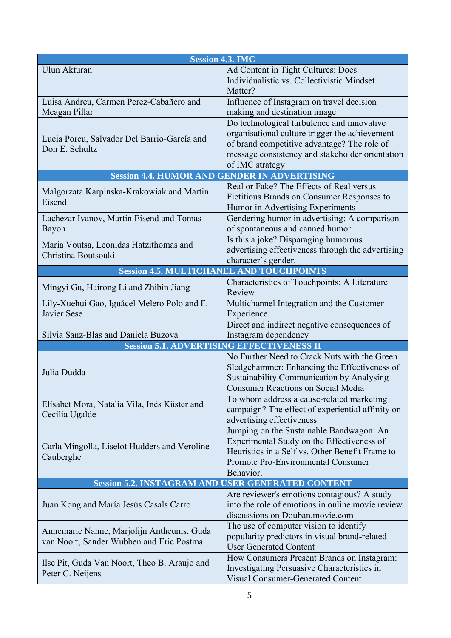| <b>Session 4.3. IMC</b>                                                                |                                                                                                                                                                                                                   |
|----------------------------------------------------------------------------------------|-------------------------------------------------------------------------------------------------------------------------------------------------------------------------------------------------------------------|
| Ulun Akturan                                                                           | Ad Content in Tight Cultures: Does<br>Individualistic vs. Collectivistic Mindset<br>Matter?                                                                                                                       |
| Luisa Andreu, Carmen Perez-Cabañero and<br>Meagan Pillar                               | Influence of Instagram on travel decision<br>making and destination image                                                                                                                                         |
| Lucia Porcu, Salvador Del Barrio-García and<br>Don E. Schultz                          | Do technological turbulence and innovative<br>organisational culture trigger the achievement<br>of brand competitive advantage? The role of<br>message consistency and stakeholder orientation<br>of IMC strategy |
|                                                                                        | <b>Session 4.4. HUMOR AND GENDER IN ADVERTISING</b>                                                                                                                                                               |
| Malgorzata Karpinska-Krakowiak and Martin<br>Eisend                                    | Real or Fake? The Effects of Real versus<br>Fictitious Brands on Consumer Responses to<br>Humor in Advertising Experiments                                                                                        |
| Lachezar Ivanov, Martin Eisend and Tomas<br>Bayon                                      | Gendering humor in advertising: A comparison<br>of spontaneous and canned humor                                                                                                                                   |
| Maria Voutsa, Leonidas Hatzithomas and<br>Christina Boutsouki                          | Is this a joke? Disparaging humorous<br>advertising effectiveness through the advertising<br>character's gender.                                                                                                  |
|                                                                                        | <b>Session 4.5. MULTICHANEL AND TOUCHPOINTS</b>                                                                                                                                                                   |
| Mingyi Gu, Hairong Li and Zhibin Jiang                                                 | Characteristics of Touchpoints: A Literature<br>Review                                                                                                                                                            |
| Lily-Xuehui Gao, Iguácel Melero Polo and F.<br>Javier Sese                             | Multichannel Integration and the Customer<br>Experience                                                                                                                                                           |
| Silvia Sanz-Blas and Daniela Buzova                                                    | Direct and indirect negative consequences of<br>Instagram dependency                                                                                                                                              |
|                                                                                        | <b>Session 5.1. ADVERTISING EFFECTIVENESS II</b>                                                                                                                                                                  |
| Julia Dudda                                                                            | No Further Need to Crack Nuts with the Green<br>Sledgehammer: Enhancing the Effectiveness of<br>Sustainability Communication by Analysing<br><b>Consumer Reactions on Social Media</b>                            |
| Elísabet Mora, Natalia Vila, Inés Küster and<br>Cecilia Ugalde                         | To whom address a cause-related marketing<br>campaign? The effect of experiential affinity on<br>advertising effectiveness                                                                                        |
| Carla Mingolla, Liselot Hudders and Veroline<br>Cauberghe                              | Jumping on the Sustainable Bandwagon: An<br>Experimental Study on the Effectiveness of<br>Heuristics in a Self vs. Other Benefit Frame to<br>Promote Pro-Environmental Consumer<br>Behavior.                      |
|                                                                                        | <b>Session 5.2. INSTAGRAM AND USER GENERATED CONTENT</b>                                                                                                                                                          |
| Juan Kong and María Jesús Casals Carro                                                 | Are reviewer's emotions contagious? A study<br>into the role of emotions in online movie review<br>discussions on Douban.movie.com                                                                                |
| Annemarie Nanne, Marjolijn Antheunis, Guda<br>van Noort, Sander Wubben and Eric Postma | The use of computer vision to identify<br>popularity predictors in visual brand-related<br><b>User Generated Content</b>                                                                                          |
| Ilse Pit, Guda Van Noort, Theo B. Araujo and<br>Peter C. Neijens                       | How Consumers Present Brands on Instagram:<br>Investigating Persuasive Characteristics in<br><b>Visual Consumer-Generated Content</b>                                                                             |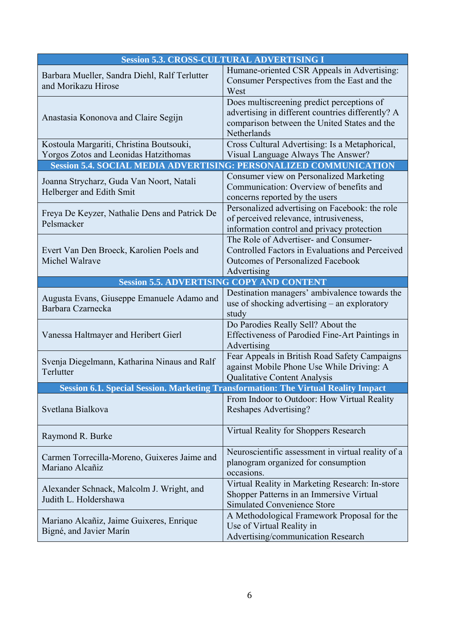| <b>Session 5.3. CROSS-CULTURAL ADVERTISING I</b>                                  |                                                                                                                                                                |
|-----------------------------------------------------------------------------------|----------------------------------------------------------------------------------------------------------------------------------------------------------------|
| Barbara Mueller, Sandra Diehl, Ralf Terlutter<br>and Morikazu Hirose              | Humane-oriented CSR Appeals in Advertising:<br>Consumer Perspectives from the East and the<br>West                                                             |
| Anastasia Kononova and Claire Segijn                                              | Does multiscreening predict perceptions of<br>advertising in different countries differently? A<br>comparison between the United States and the<br>Netherlands |
| Kostoula Margariti, Christina Boutsouki,<br>Yorgos Zotos and Leonidas Hatzithomas | Cross Cultural Advertising: Is a Metaphorical,<br>Visual Language Always The Answer?                                                                           |
|                                                                                   | <b>Session 5.4. SOCIAL MEDIA ADVERTISING: PERSONALIZED COMMUNICATION</b>                                                                                       |
| Joanna Strycharz, Guda Van Noort, Natali<br>Helberger and Edith Smit              | Consumer view on Personalized Marketing<br>Communication: Overview of benefits and<br>concerns reported by the users                                           |
| Freya De Keyzer, Nathalie Dens and Patrick De<br>Pelsmacker                       | Personalized advertising on Facebook: the role<br>of perceived relevance, intrusiveness,<br>information control and privacy protection                         |
| Evert Van Den Broeck, Karolien Poels and<br>Michel Walrave                        | The Role of Advertiser- and Consumer-<br>Controlled Factors in Evaluations and Perceived<br><b>Outcomes of Personalized Facebook</b><br>Advertising            |
|                                                                                   | <b>Session 5.5. ADVERTISING COPY AND CONTENT</b>                                                                                                               |
| Augusta Evans, Giuseppe Emanuele Adamo and<br>Barbara Czarnecka                   | Destination managers' ambivalence towards the<br>use of shocking advertising – an exploratory<br>study                                                         |
| Vanessa Haltmayer and Heribert Gierl                                              | Do Parodies Really Sell? About the<br>Effectiveness of Parodied Fine-Art Paintings in<br>Advertising                                                           |
| Svenja Diegelmann, Katharina Ninaus and Ralf<br>Terlutter                         | Fear Appeals in British Road Safety Campaigns<br>against Mobile Phone Use While Driving: A<br><b>Qualitative Content Analysis</b>                              |
|                                                                                   | Session 6.1. Special Session. Marketing Transformation: The Virtual Reality Impact                                                                             |
| Svetlana Bialkova                                                                 | From Indoor to Outdoor: How Virtual Reality<br>Reshapes Advertising?                                                                                           |
| Raymond R. Burke                                                                  | Virtual Reality for Shoppers Research                                                                                                                          |
| Carmen Torrecilla-Moreno, Guixeres Jaime and<br>Mariano Alcañiz                   | Neuroscientific assessment in virtual reality of a<br>planogram organized for consumption<br>occasions.                                                        |
| Alexander Schnack, Malcolm J. Wright, and<br>Judith L. Holdershawa                | Virtual Reality in Marketing Research: In-store<br>Shopper Patterns in an Immersive Virtual<br><b>Simulated Convenience Store</b>                              |
| Mariano Alcañiz, Jaime Guixeres, Enrique<br>Bigné, and Javier Marín               | A Methodological Framework Proposal for the<br>Use of Virtual Reality in<br>Advertising/communication Research                                                 |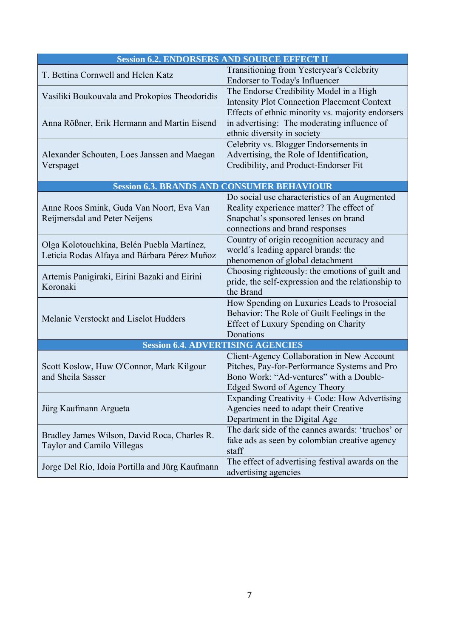|                                                                                            | <b>Session 6.2. ENDORSERS AND SOURCE EFFECT II</b>                                                                                                                    |
|--------------------------------------------------------------------------------------------|-----------------------------------------------------------------------------------------------------------------------------------------------------------------------|
| T. Bettina Cornwell and Helen Katz                                                         | Transitioning from Yesteryear's Celebrity<br><b>Endorser to Today's Influencer</b>                                                                                    |
| Vasiliki Boukouvala and Prokopios Theodoridis                                              | The Endorse Credibility Model in a High<br><b>Intensity Plot Connection Placement Context</b>                                                                         |
| Anna Rößner, Erik Hermann and Martin Eisend                                                | Effects of ethnic minority vs. majority endorsers<br>in advertising: The moderating influence of<br>ethnic diversity in society                                       |
| Alexander Schouten, Loes Janssen and Maegan<br>Verspaget                                   | Celebrity vs. Blogger Endorsements in<br>Advertising, the Role of Identification,<br>Credibility, and Product-Endorser Fit                                            |
|                                                                                            | <b>Session 6.3. BRANDS AND CONSUMER BEHAVIOUR</b>                                                                                                                     |
| Anne Roos Smink, Guda Van Noort, Eva Van<br>Reijmersdal and Peter Neijens                  | Do social use characteristics of an Augmented<br>Reality experience matter? The effect of<br>Snapchat's sponsored lenses on brand<br>connections and brand responses  |
| Olga Kolotouchkina, Belén Puebla Martínez,<br>Leticia Rodas Alfaya and Bárbara Pérez Muñoz | Country of origin recognition accuracy and<br>world's leading apparel brands: the<br>phenomenon of global detachment                                                  |
| Artemis Panigiraki, Eirini Bazaki and Eirini<br>Koronaki                                   | Choosing righteously: the emotions of guilt and<br>pride, the self-expression and the relationship to<br>the Brand                                                    |
| Melanie Verstockt and Liselot Hudders                                                      | How Spending on Luxuries Leads to Prosocial<br>Behavior: The Role of Guilt Feelings in the<br>Effect of Luxury Spending on Charity<br>Donations                       |
|                                                                                            | <b>Session 6.4. ADVERTISING AGENCIES</b>                                                                                                                              |
| Scott Koslow, Huw O'Connor, Mark Kilgour<br>and Sheila Sasser                              | Client-Agency Collaboration in New Account<br>Pitches, Pay-for-Performance Systems and Pro<br>Bono Work: "Ad-ventures" with a Double-<br>Edged Sword of Agency Theory |
| Jürg Kaufmann Argueta                                                                      | Expanding Creativity + Code: How Advertising<br>Agencies need to adapt their Creative<br>Department in the Digital Age                                                |
| Bradley James Wilson, David Roca, Charles R.<br><b>Taylor and Camilo Villegas</b>          | The dark side of the cannes awards: 'truchos' or<br>fake ads as seen by colombian creative agency<br>staff                                                            |
| Jorge Del Río, Idoia Portilla and Jürg Kaufmann                                            | The effect of advertising festival awards on the<br>advertising agencies                                                                                              |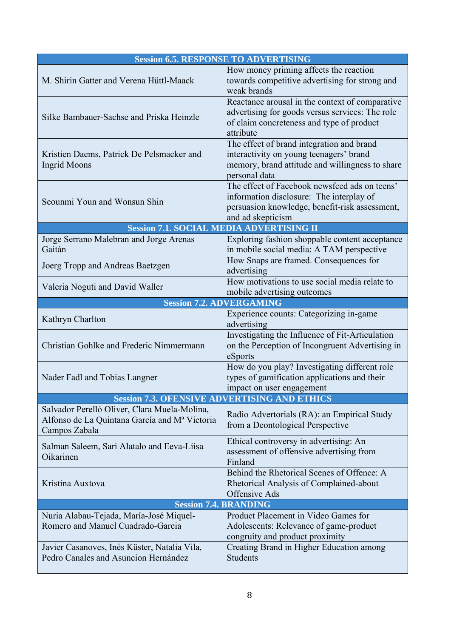|                                                                                                                            | <b>Session 6.5. RESPONSE TO ADVERTISING</b>                                                                                                                      |
|----------------------------------------------------------------------------------------------------------------------------|------------------------------------------------------------------------------------------------------------------------------------------------------------------|
| M. Shirin Gatter and Verena Hüttl-Maack                                                                                    | How money priming affects the reaction<br>towards competitive advertising for strong and<br>weak brands                                                          |
| Silke Bambauer-Sachse and Priska Heinzle                                                                                   | Reactance arousal in the context of comparative<br>advertising for goods versus services: The role<br>of claim concreteness and type of product<br>attribute     |
| Kristien Daems, Patrick De Pelsmacker and<br><b>Ingrid Moons</b>                                                           | The effect of brand integration and brand<br>interactivity on young teenagers' brand<br>memory, brand attitude and willingness to share<br>personal data         |
| Seounmi Youn and Wonsun Shin                                                                                               | The effect of Facebook newsfeed ads on teens'<br>information disclosure: The interplay of<br>persuasion knowledge, benefit-risk assessment,<br>and ad skepticism |
|                                                                                                                            | <b>Session 7.1. SOCIAL MEDIA ADVERTISING II</b>                                                                                                                  |
| Jorge Serrano Malebran and Jorge Arenas<br>Gaitán                                                                          | Exploring fashion shoppable content acceptance<br>in mobile social media: A TAM perspective                                                                      |
| Joerg Tropp and Andreas Baetzgen                                                                                           | How Snaps are framed. Consequences for<br>advertising                                                                                                            |
| Valeria Noguti and David Waller                                                                                            | How motivations to use social media relate to<br>mobile advertising outcomes                                                                                     |
|                                                                                                                            | <b>Session 7.2. ADVERGAMING</b>                                                                                                                                  |
| Kathryn Charlton                                                                                                           | Experience counts: Categorizing in-game<br>advertising                                                                                                           |
| Christian Gohlke and Frederic Nimmermann                                                                                   | Investigating the Influence of Fit-Articulation<br>on the Perception of Incongruent Advertising in<br>eSports                                                    |
| Nader Fadl and Tobias Langner                                                                                              | How do you play? Investigating different role<br>types of gamification applications and their<br>impact on user engagement                                       |
|                                                                                                                            | <b>Session 7.3. OFENSIVE ADVERTISING AND ETHICS</b>                                                                                                              |
| Salvador Perelló Oliver, Clara Muela-Molina,<br>Alfonso de La Quintana García and M <sup>a</sup> Victoria<br>Campos Zabala | Radio Advertorials (RA): an Empirical Study<br>from a Deontological Perspective                                                                                  |
| Salman Saleem, Sari Alatalo and Eeva-Liisa<br>Oikarinen                                                                    | Ethical controversy in advertising: An<br>assessment of offensive advertising from<br>Finland                                                                    |
| Kristina Auxtova                                                                                                           | Behind the Rhetorical Scenes of Offence: A<br>Rhetorical Analysis of Complained-about<br>Offensive Ads                                                           |
| <b>Session 7.4. BRANDING</b>                                                                                               |                                                                                                                                                                  |
| Nuria Alabau-Tejada, María-José Miquel-<br>Romero and Manuel Cuadrado-Garcia                                               | Product Placement in Video Games for<br>Adolescents: Relevance of game-product<br>congruity and product proximity                                                |
| Javier Casanoves, Inés Küster, Natalia Vila,<br>Pedro Canales and Asuncion Hernández                                       | Creating Brand in Higher Education among<br><b>Students</b>                                                                                                      |